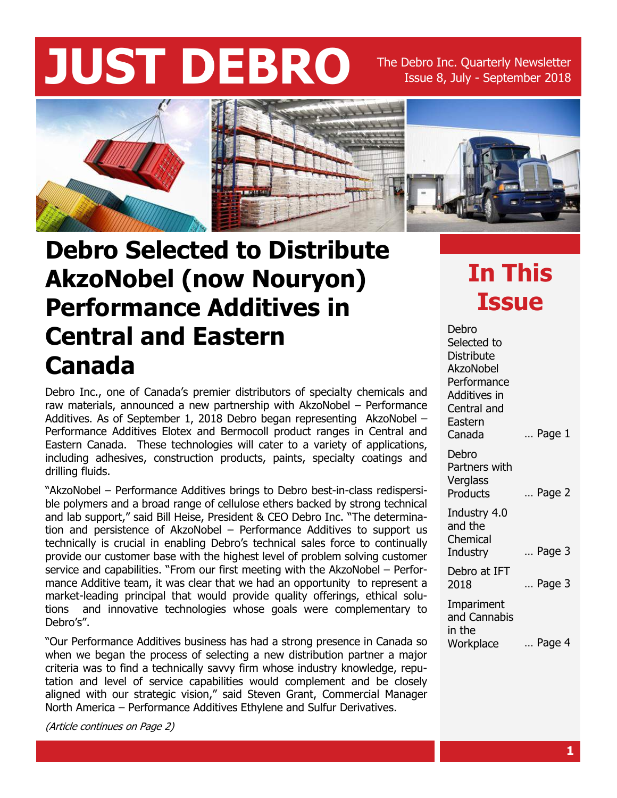# **JUST DEBRO** The Debro Inc. Quarterly Newsletter

Issue 8, July - September 2018



#### **Debro Selected to Distribute AkzoNobel (now Nouryon) Performance Additives in Central and Eastern Canada**

Debro Inc., one of Canada's premier distributors of specialty chemicals and raw materials, announced a new partnership with AkzoNobel – Performance Additives. As of September 1, 2018 Debro began representing AkzoNobel – Performance Additives Elotex and Bermocoll product ranges in Central and Eastern Canada. These technologies will cater to a variety of applications, including adhesives, construction products, paints, specialty coatings and drilling fluids.

"AkzoNobel – Performance Additives brings to Debro best-in-class redispersible polymers and a broad range of cellulose ethers backed by strong technical and lab support," said Bill Heise, President & CEO Debro Inc. "The determination and persistence of AkzoNobel – Performance Additives to support us technically is crucial in enabling Debro's technical sales force to continually provide our customer base with the highest level of problem solving customer service and capabilities. "From our first meeting with the AkzoNobel – Performance Additive team, it was clear that we had an opportunity to represent a market-leading principal that would provide quality offerings, ethical solutions and innovative technologies whose goals were complementary to Debro's".

"Our Performance Additives business has had a strong presence in Canada so when we began the process of selecting a new distribution partner a major criteria was to find a technically savvy firm whose industry knowledge, reputation and level of service capabilities would complement and be closely aligned with our strategic vision," said Steven Grant, Commercial Manager North America – Performance Additives Ethylene and Sulfur Derivatives.

(Article continues on Page 2)

### **In This Issue**

… Page 1 … Page 2 … Page 3 … Page 3 … Page 4 Debro Selected to **Distribute** AkzoNobel Performance Additives in Central and Eastern Canada Debro Partners with Verglass **Products** Industry 4.0 and the Chemical **Industry** Debro at IFT 2018 Impariment and Cannabis in the **Workplace**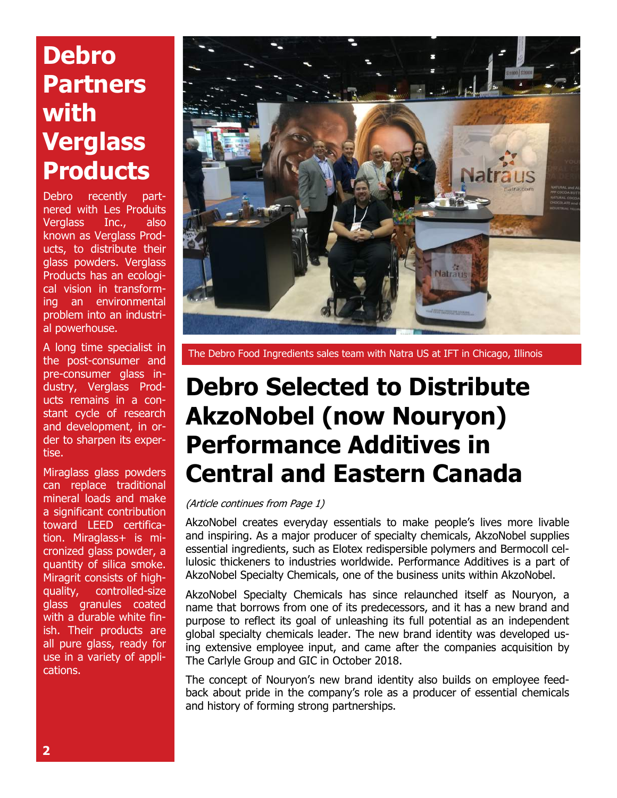## **Debro Partners with Verglass Products**

Debro recently partnered with Les Produits Verglass Inc., also known as Verglass Products, to distribute their glass powders. Verglass Products has an ecological vision in transforming an environmental problem into an industrial powerhouse.

A long time specialist in the post-consumer and pre-consumer glass industry, Verglass Products remains in a constant cycle of research and development, in order to sharpen its expertise.

Miraglass glass powders can replace traditional mineral loads and make a significant contribution toward LEED certification. Miraglass+ is micronized glass powder, a quantity of silica smoke. Miragrit consists of highquality, controlled-size glass granules coated with a durable white finish. Their products are all pure glass, ready for use in a variety of applications.



The Debro Food Ingredients sales team with Natra US at IFT in Chicago, Illinois

#### **Debro Selected to Distribute AkzoNobel (now Nouryon) Performance Additives in Central and Eastern Canada**

#### (Article continues from Page 1)

AkzoNobel creates everyday essentials to make people's lives more livable and inspiring. As a major producer of specialty chemicals, AkzoNobel supplies essential ingredients, such as Elotex redispersible polymers and Bermocoll cellulosic thickeners to industries worldwide. Performance Additives is a part of AkzoNobel Specialty Chemicals, one of the business units within AkzoNobel.

AkzoNobel Specialty Chemicals has since relaunched itself as Nouryon, a name that borrows from one of its predecessors, and it has a new brand and purpose to reflect its goal of unleashing its full potential as an independent global specialty chemicals leader. The new brand identity was developed using extensive employee input, and came after the companies acquisition by The Carlyle Group and GIC in October 2018.

The concept of Nouryon's new brand identity also builds on employee feedback about pride in the company's role as a producer of essential chemicals and history of forming strong partnerships.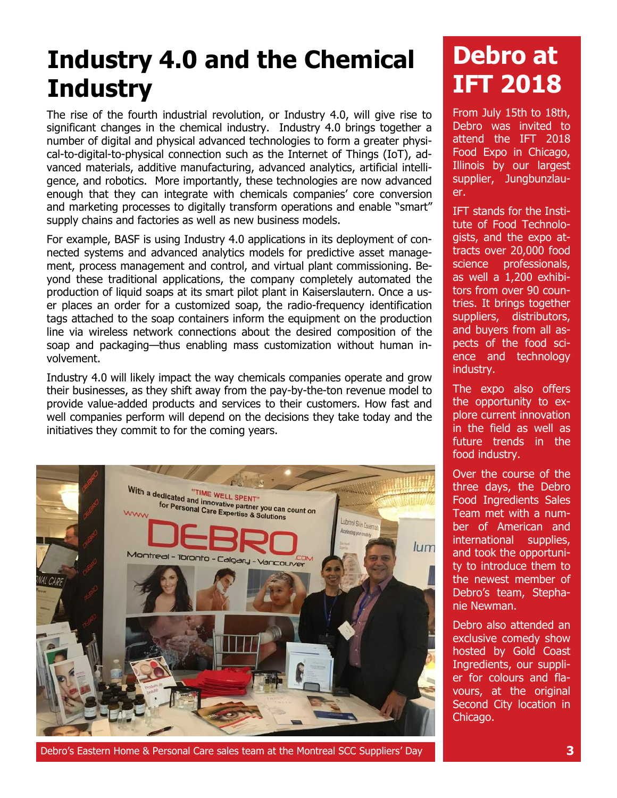## **Industry 4.0 and the Chemical Industry**

The rise of the fourth industrial revolution, or Industry 4.0, will give rise to significant changes in the chemical industry. Industry 4.0 brings together a number of digital and physical advanced technologies to form a greater physical-to-digital-to-physical connection such as the Internet of Things (IoT), advanced materials, additive manufacturing, advanced analytics, artificial intelligence, and robotics. More importantly, these technologies are now advanced enough that they can integrate with chemicals companies' core conversion and marketing processes to digitally transform operations and enable "smart" supply chains and factories as well as new business models.

For example, BASF is using Industry 4.0 applications in its deployment of connected systems and advanced analytics models for predictive asset management, process management and control, and virtual plant commissioning. Beyond these traditional applications, the company completely automated the production of liquid soaps at its smart pilot plant in Kaiserslautern. Once a user places an order for a customized soap, the radio-frequency identification tags attached to the soap containers inform the equipment on the production line via wireless network connections about the desired composition of the soap and packaging—thus enabling mass customization without human involvement.

Industry 4.0 will likely impact the way chemicals companies operate and grow their businesses, as they shift away from the pay-by-the-ton revenue model to provide value-added products and services to their customers. How fast and well companies perform will depend on the decisions they take today and the initiatives they commit to for the coming years.



Debro's Eastern Home & Personal Care sales team at the Montreal SCC Suppliers' Day **3**

### **Debro at IFT 2018**

From July 15th to 18th, Debro was invited to attend the IFT 2018 Food Expo in Chicago, Illinois by our largest supplier, Jungbunzlauer.

IFT stands for the Institute of Food Technologists, and the expo attracts over 20,000 food science professionals, as well a 1,200 exhibitors from over 90 countries. It brings together suppliers, distributors, and buyers from all aspects of the food science and technology industry.

The expo also offers the opportunity to explore current innovation in the field as well as future trends in the food industry.

Over the course of the three days, the Debro Food Ingredients Sales Team met with a number of American and international supplies, and took the opportunity to introduce them to the newest member of Debro's team, Stephanie Newman.

Debro also attended an exclusive comedy show hosted by Gold Coast Ingredients, our supplier for colours and flavours, at the original Second City location in Chicago.